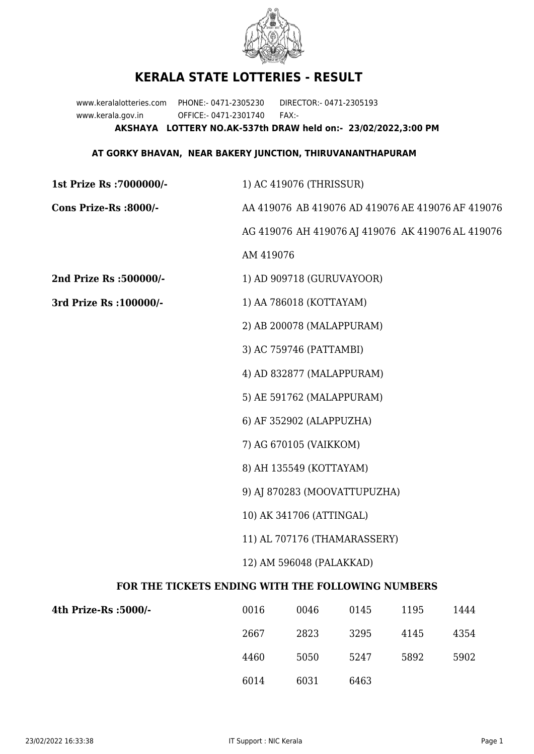

## **KERALA STATE LOTTERIES - RESULT**

www.keralalotteries.com PHONE:- 0471-2305230 DIRECTOR:- 0471-2305193 www.kerala.gov.in OFFICE:- 0471-2301740 FAX:- **AKSHAYA LOTTERY NO.AK-537th DRAW held on:- 23/02/2022,3:00 PM**

## **AT GORKY BHAVAN, NEAR BAKERY JUNCTION, THIRUVANANTHAPURAM**

| 1st Prize Rs : 7000000/-                          | 1) AC 419076 (THRISSUR)                                                                                       |      |      |      |                                                   |  |
|---------------------------------------------------|---------------------------------------------------------------------------------------------------------------|------|------|------|---------------------------------------------------|--|
| Cons Prize-Rs :8000/-                             | AA 419076 AB 419076 AD 419076 AE 419076 AF 419076                                                             |      |      |      |                                                   |  |
|                                                   |                                                                                                               |      |      |      | AG 419076 AH 419076 AJ 419076 AK 419076 AL 419076 |  |
|                                                   | AM 419076                                                                                                     |      |      |      |                                                   |  |
| 2nd Prize Rs :500000/-                            | 1) AD 909718 (GURUVAYOOR)                                                                                     |      |      |      |                                                   |  |
| 3rd Prize Rs : 100000/-                           | 1) AA 786018 (KOTTAYAM)                                                                                       |      |      |      |                                                   |  |
|                                                   | 2) AB 200078 (MALAPPURAM)                                                                                     |      |      |      |                                                   |  |
|                                                   | 3) AC 759746 (PATTAMBI)                                                                                       |      |      |      |                                                   |  |
|                                                   | 4) AD 832877 (MALAPPURAM)                                                                                     |      |      |      |                                                   |  |
|                                                   | 5) AE 591762 (MALAPPURAM)                                                                                     |      |      |      |                                                   |  |
|                                                   | 6) AF 352902 (ALAPPUZHA)                                                                                      |      |      |      |                                                   |  |
|                                                   | 7) AG 670105 (VAIKKOM)<br>8) AH 135549 (KOTTAYAM)<br>9) AJ 870283 (MOOVATTUPUZHA)<br>10) AK 341706 (ATTINGAL) |      |      |      |                                                   |  |
|                                                   |                                                                                                               |      |      |      |                                                   |  |
|                                                   |                                                                                                               |      |      |      |                                                   |  |
|                                                   |                                                                                                               |      |      |      |                                                   |  |
|                                                   | 11) AL 707176 (THAMARASSERY)                                                                                  |      |      |      |                                                   |  |
| 12) AM 596048 (PALAKKAD)                          |                                                                                                               |      |      |      |                                                   |  |
| FOR THE TICKETS ENDING WITH THE FOLLOWING NUMBERS |                                                                                                               |      |      |      |                                                   |  |
| 4th Prize-Rs :5000/-                              | 0016                                                                                                          | 0046 | 0145 | 1195 | 1444                                              |  |
|                                                   |                                                                                                               |      |      |      |                                                   |  |

| -/1000: 4th Prize-Rs | 0016 | 0046 | 0145 | 1195 | 1444 |
|----------------------|------|------|------|------|------|
|                      | 2667 | 2823 | 3295 | 4145 | 4354 |
|                      | 4460 | 5050 | 5247 | 5892 | 5902 |
|                      | 6014 | 6031 | 6463 |      |      |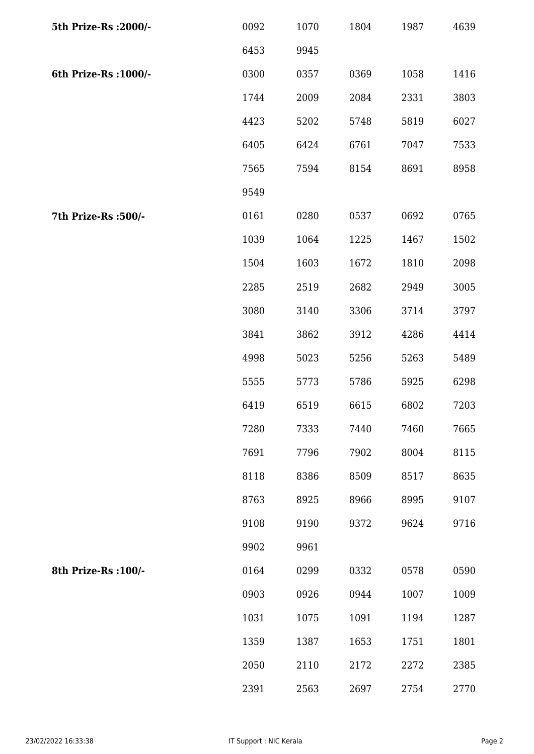| 5th Prize-Rs : 2000/- | 0092 | 1070 | 1804 | 1987 | 4639 |
|-----------------------|------|------|------|------|------|
|                       | 6453 | 9945 |      |      |      |
| 6th Prize-Rs : 1000/- | 0300 | 0357 | 0369 | 1058 | 1416 |
|                       | 1744 | 2009 | 2084 | 2331 | 3803 |
|                       | 4423 | 5202 | 5748 | 5819 | 6027 |
|                       | 6405 | 6424 | 6761 | 7047 | 7533 |
|                       | 7565 | 7594 | 8154 | 8691 | 8958 |
|                       | 9549 |      |      |      |      |
| 7th Prize-Rs : 500/-  | 0161 | 0280 | 0537 | 0692 | 0765 |
|                       | 1039 | 1064 | 1225 | 1467 | 1502 |
|                       | 1504 | 1603 | 1672 | 1810 | 2098 |
|                       | 2285 | 2519 | 2682 | 2949 | 3005 |
|                       | 3080 | 3140 | 3306 | 3714 | 3797 |
|                       | 3841 | 3862 | 3912 | 4286 | 4414 |
|                       | 4998 | 5023 | 5256 | 5263 | 5489 |
|                       | 5555 | 5773 | 5786 | 5925 | 6298 |
|                       | 6419 | 6519 | 6615 | 6802 | 7203 |
|                       | 7280 | 7333 | 7440 | 7460 | 7665 |
|                       | 7691 | 7796 | 7902 | 8004 | 8115 |
|                       | 8118 | 8386 | 8509 | 8517 | 8635 |
|                       | 8763 | 8925 | 8966 | 8995 | 9107 |
|                       | 9108 | 9190 | 9372 | 9624 | 9716 |
|                       | 9902 | 9961 |      |      |      |
| 8th Prize-Rs : 100/-  | 0164 | 0299 | 0332 | 0578 | 0590 |
|                       | 0903 | 0926 | 0944 | 1007 | 1009 |
|                       | 1031 | 1075 | 1091 | 1194 | 1287 |
|                       | 1359 | 1387 | 1653 | 1751 | 1801 |
|                       | 2050 | 2110 | 2172 | 2272 | 2385 |
|                       | 2391 | 2563 | 2697 | 2754 | 2770 |